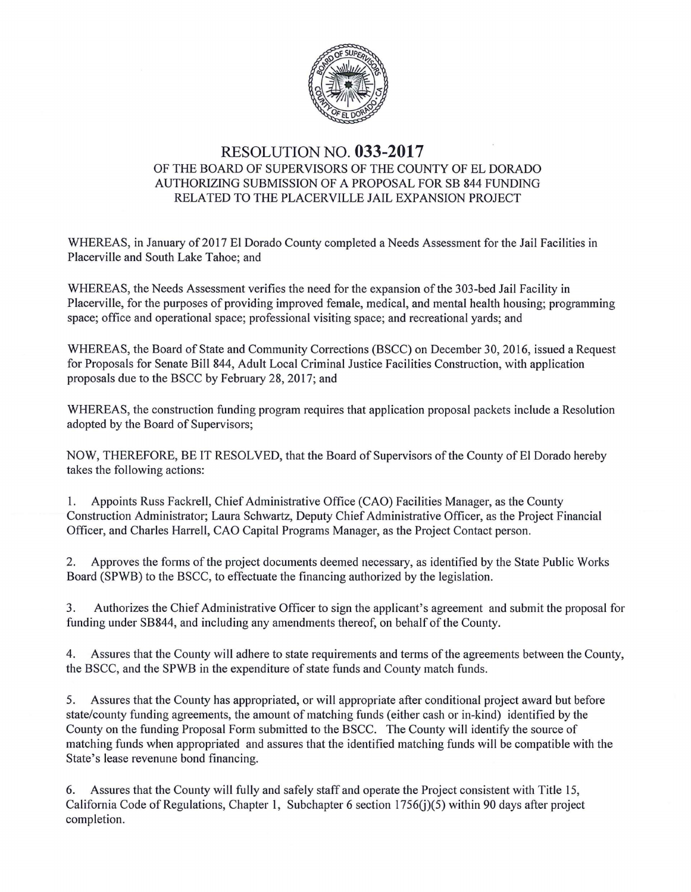

## RESOLUTION NO. **033-2017**  OF THE BOARD OF SUPERVISORS OF THE COUNTY OF EL DORADO AUTHORIZING SUBMISSION OF A PROPOSAL FOR SB 844 FUNDING RELATED TO THE PLACERVILLE JAIL EXPANSION PROJECT

WHEREAS, in January of 2017 El Dorado County completed a Needs Assessment for the Jail Facilities in Placerville and South Lake Tahoe; and

WHEREAS, the Needs Assessment verifies the need for the expansion of the 303-bed Jail Facility in Placerville, for the purposes of providing improved female, medical, and mental health housing; programming space; office and operational space; professional visiting space; and recreational yards; and

WHEREAS, the Board of State and Community Corrections (BSCC) on December 30, 2016, issued a Request for Proposals for Senate Bill 844, Adult Local Criminal Justice Facilities Construction, with application proposals due to the BSCC by February 28, 2017; and

WHEREAS, the construction funding program requires that application proposal packets include a Resolution adopted by the Board of Supervisors;

NOW, THEREFORE, BE IT RESOLVED, that the Board of Supervisors of the County of El Dorado hereby takes the following actions:

1. Appoints Russ Fackrell, Chief Administrative Office (CAO) Facilities Manager, as the County Construction Administrator; Laura Schwartz, Deputy Chief Administrative Officer, as the Project Financial Officer, and Charles Harrell, CAO Capital Programs Manager, as the Project Contact person.

2. Approves the forms of the project documents deemed necessary, as identified by the State Public Works Board (SPWB) to the BSCC, to effectuate the financing authorized by the legislation.

3. Authorizes the Chief Administrative Officer to sign the applicant's agreement and submit the proposal for funding under SB844, and including any amendments thereof, on behalf of the County.

4. Assures that the County will adhere to state requirements and terms of the agreements between the County, the BSCC, and the SPWB in the expenditure of state funds and County match funds.

5. Assures that the County has appropriated, or will appropriate after conditional project award but before state/county funding agreements, the amount of matching funds (either cash or in-kind) identified by the County on the funding Proposal Form submitted to the BSCC. The County will identify the source of matching funds when appropriated and assures that the identified matching funds will be compatible with the State's lease revenune bond financing.

6. Assures that the County will fully and safely staff and operate the Project consistent with Title 15, California Code of Regulations, Chapter 1, Subchapter 6 section 1756(j)(5) within 90 days after project completion.